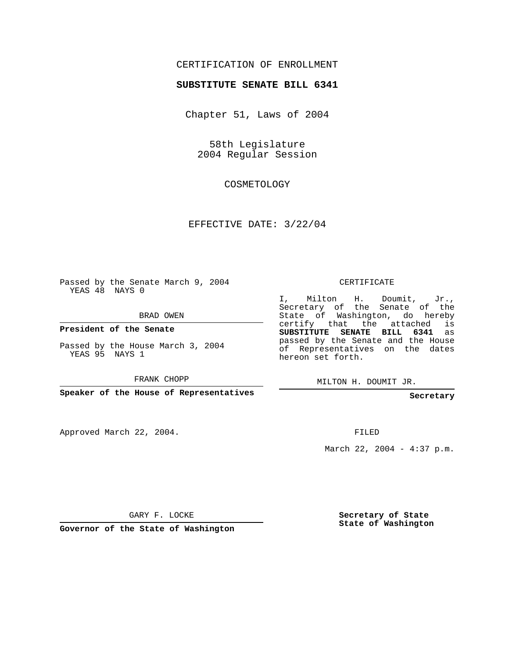## CERTIFICATION OF ENROLLMENT

## **SUBSTITUTE SENATE BILL 6341**

Chapter 51, Laws of 2004

58th Legislature 2004 Regular Session

COSMETOLOGY

EFFECTIVE DATE: 3/22/04

Passed by the Senate March 9, 2004 YEAS 48 NAYS 0

BRAD OWEN

**President of the Senate**

Passed by the House March 3, 2004 YEAS 95 NAYS 1

FRANK CHOPP

**Speaker of the House of Representatives**

Approved March 22, 2004.

CERTIFICATE

I, Milton H. Doumit, Jr., Secretary of the Senate of the State of Washington, do hereby certify that the attached is **SUBSTITUTE SENATE BILL 6341** as passed by the Senate and the House of Representatives on the dates hereon set forth.

MILTON H. DOUMIT JR.

**Secretary**

FILED

March 22, 2004 - 4:37 p.m.

GARY F. LOCKE

**Governor of the State of Washington**

**Secretary of State State of Washington**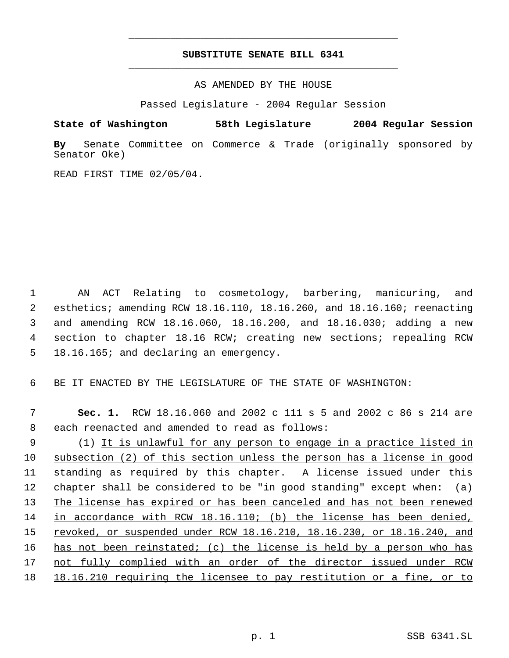## **SUBSTITUTE SENATE BILL 6341** \_\_\_\_\_\_\_\_\_\_\_\_\_\_\_\_\_\_\_\_\_\_\_\_\_\_\_\_\_\_\_\_\_\_\_\_\_\_\_\_\_\_\_\_\_

\_\_\_\_\_\_\_\_\_\_\_\_\_\_\_\_\_\_\_\_\_\_\_\_\_\_\_\_\_\_\_\_\_\_\_\_\_\_\_\_\_\_\_\_\_

AS AMENDED BY THE HOUSE

Passed Legislature - 2004 Regular Session

**State of Washington 58th Legislature 2004 Regular Session**

**By** Senate Committee on Commerce & Trade (originally sponsored by Senator Oke)

READ FIRST TIME 02/05/04.

 AN ACT Relating to cosmetology, barbering, manicuring, and esthetics; amending RCW 18.16.110, 18.16.260, and 18.16.160; reenacting and amending RCW 18.16.060, 18.16.200, and 18.16.030; adding a new section to chapter 18.16 RCW; creating new sections; repealing RCW 18.16.165; and declaring an emergency.

6 BE IT ENACTED BY THE LEGISLATURE OF THE STATE OF WASHINGTON:

 7 **Sec. 1.** RCW 18.16.060 and 2002 c 111 s 5 and 2002 c 86 s 214 are 8 each reenacted and amended to read as follows:

 (1) It is unlawful for any person to engage in a practice listed in subsection (2) of this section unless the person has a license in good standing as required by this chapter. A license issued under this 12 chapter shall be considered to be "in good standing" except when: (a) 13 The license has expired or has been canceled and has not been renewed in accordance with RCW 18.16.110; (b) the license has been denied, 15 revoked, or suspended under RCW 18.16.210, 18.16.230, or 18.16.240, and has not been reinstated; (c) the license is held by a person who has not fully complied with an order of the director issued under RCW 18.16.210 requiring the licensee to pay restitution or a fine, or to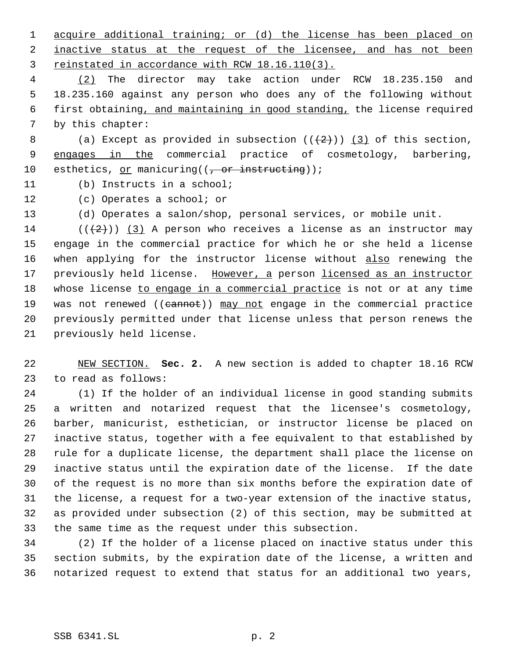acquire additional training; or (d) the license has been placed on 2 inactive status at the request of the licensee, and has not been reinstated in accordance with RCW 18.16.110(3).

 (2) The director may take action under RCW 18.235.150 and 18.235.160 against any person who does any of the following without first obtaining, and maintaining in good standing, the license required by this chapter:

8 (a) Except as provided in subsection  $((+2)^{n})$  (3) of this section, 9 engages in the commercial practice of cosmetology, barbering, 10 esthetics, or manicuring( $(-$ or instructing));

(b) Instructs in a school;

(c) Operates a school; or

(d) Operates a salon/shop, personal services, or mobile unit.

14 ( $(\langle 2 \rangle)$ ) (3) A person who receives a license as an instructor may engage in the commercial practice for which he or she held a license 16 when applying for the instructor license without also renewing the 17 previously held license. However, a person licensed as an instructor 18 whose license to engage in a commercial practice is not or at any time 19 was not renewed ((cannot)) may not engage in the commercial practice previously permitted under that license unless that person renews the previously held license.

 NEW SECTION. **Sec. 2.** A new section is added to chapter 18.16 RCW to read as follows:

 (1) If the holder of an individual license in good standing submits a written and notarized request that the licensee's cosmetology, barber, manicurist, esthetician, or instructor license be placed on inactive status, together with a fee equivalent to that established by rule for a duplicate license, the department shall place the license on inactive status until the expiration date of the license. If the date of the request is no more than six months before the expiration date of the license, a request for a two-year extension of the inactive status, as provided under subsection (2) of this section, may be submitted at the same time as the request under this subsection.

 (2) If the holder of a license placed on inactive status under this section submits, by the expiration date of the license, a written and notarized request to extend that status for an additional two years,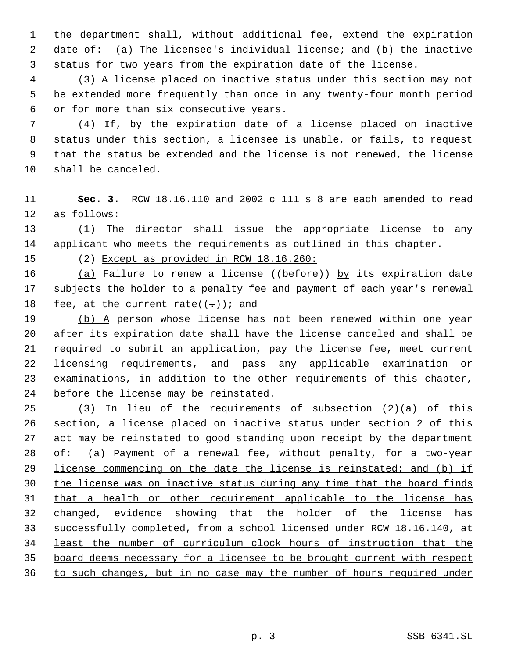the department shall, without additional fee, extend the expiration date of: (a) The licensee's individual license; and (b) the inactive status for two years from the expiration date of the license.

 (3) A license placed on inactive status under this section may not be extended more frequently than once in any twenty-four month period or for more than six consecutive years.

 (4) If, by the expiration date of a license placed on inactive status under this section, a licensee is unable, or fails, to request that the status be extended and the license is not renewed, the license shall be canceled.

 **Sec. 3.** RCW 18.16.110 and 2002 c 111 s 8 are each amended to read as follows:

 (1) The director shall issue the appropriate license to any applicant who meets the requirements as outlined in this chapter.

(2) Except as provided in RCW 18.16.260:

16 (a) Failure to renew a license ((before)) by its expiration date subjects the holder to a penalty fee and payment of each year's renewal 18 fee, at the current rate( $(-)$ ) *i* and

19 (b) A person whose license has not been renewed within one year after its expiration date shall have the license canceled and shall be required to submit an application, pay the license fee, meet current licensing requirements, and pass any applicable examination or examinations, in addition to the other requirements of this chapter, before the license may be reinstated.

 (3) In lieu of the requirements of subsection (2)(a) of this section, a license placed on inactive status under section 2 of this 27 act may be reinstated to good standing upon receipt by the department 28 of: (a) Payment of a renewal fee, without penalty, for a two-year license commencing on the date the license is reinstated; and (b) if 30 the license was on inactive status during any time that the board finds that a health or other requirement applicable to the license has changed, evidence showing that the holder of the license has successfully completed, from a school licensed under RCW 18.16.140, at least the number of curriculum clock hours of instruction that the board deems necessary for a licensee to be brought current with respect to such changes, but in no case may the number of hours required under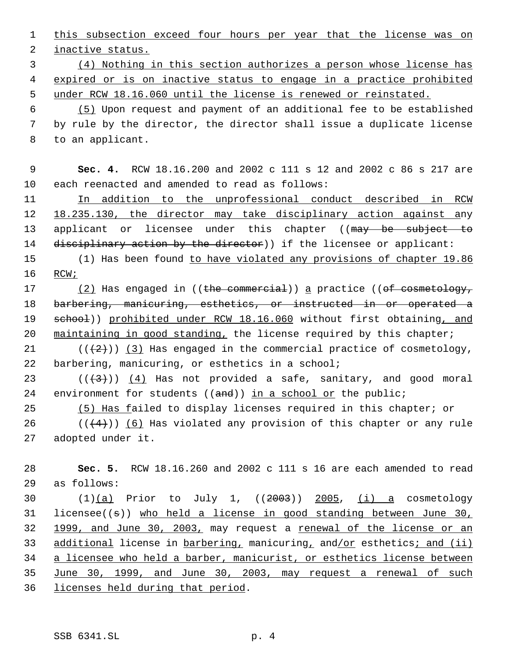1 this subsection exceed four hours per year that the license was on

2 inactive status.

 3 (4) Nothing in this section authorizes a person whose license has 4 expired or is on inactive status to engage in a practice prohibited 5 under RCW 18.16.060 until the license is renewed or reinstated.

 6 (5) Upon request and payment of an additional fee to be established 7 by rule by the director, the director shall issue a duplicate license 8 to an applicant.

 9 **Sec. 4.** RCW 18.16.200 and 2002 c 111 s 12 and 2002 c 86 s 217 are 10 each reenacted and amended to read as follows:

11 In addition to the unprofessional conduct described in RCW 12 18.235.130, the director may take disciplinary action against any 13 applicant or licensee under this chapter ((may be subject to 14 disciplinary action by the director)) if the licensee or applicant:

15 (1) Has been found to have violated any provisions of chapter 19.86 16 RCW;

17 (2) Has engaged in ((the commercial)) a practice ((of cosmetology, 18 barbering, manicuring, esthetics, or instructed in or operated a 19 school)) prohibited under RCW 18.16.060 without first obtaining, and 20 maintaining in good standing, the license required by this chapter;

21  $((+2))$   $(3)$  Has engaged in the commercial practice of cosmetology, 22 barbering, manicuring, or esthetics in a school;

23  $((+3))$   $(4)$  Has not provided a safe, sanitary, and good moral 24 environment for students  $((and))$  in a school or the public;

25 (5) Has failed to display licenses required in this chapter; or

26 ( $(\langle 4 \rangle)$ ) (6) Has violated any provision of this chapter or any rule 27 adopted under it.

28 **Sec. 5.** RCW 18.16.260 and 2002 c 111 s 16 are each amended to read 29 as follows:

30  $(1)(a)$  Prior to July 1,  $((2003))$  2005, (i) a cosmetology 31 licensee( $(s)$ ) who held a license in good standing between June 30, 32 1999, and June 30, 2003, may request a renewal of the license or an 33 additional license in barbering, manicuring, and/or esthetics; and (ii) 34 a licensee who held a barber, manicurist, or esthetics license between 35 June 30, 1999, and June 30, 2003, may request a renewal of such 36 licenses held during that period.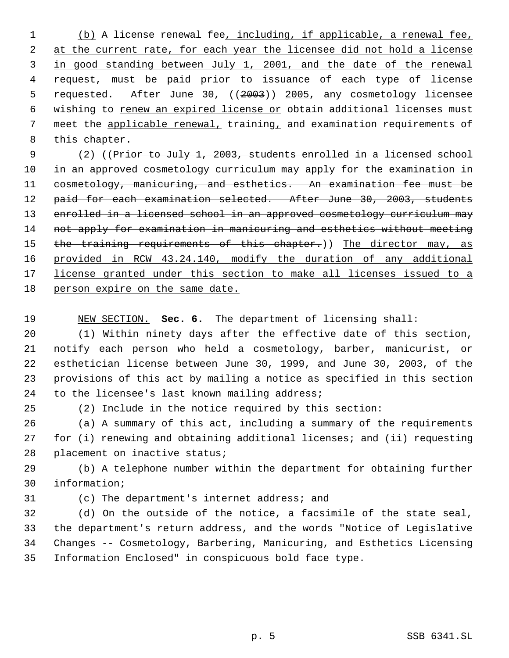(b) A license renewal fee, including, if applicable, a renewal fee, 2 at the current rate, for each year the licensee did not hold a license in good standing between July 1, 2001, and the date of the renewal 4 request, must be paid prior to issuance of each type of license 5 requested. After June 30, ((2003)) 2005, any cosmetology licensee 6 wishing to renew an expired license or obtain additional licenses must meet the applicable renewal, training, and examination requirements of this chapter.

 (2) ((Prior to July 1, 2003, students enrolled in a licensed school 10 in an approved cosmetology curriculum may apply for the examination in cosmetology, manicuring, and esthetics. An examination fee must be 12 paid for each examination selected. After June 30, 2003, students 13 enrolled in a licensed school in an approved cosmetology curriculum may not apply for examination in manicuring and esthetics without meeting 15 the training requirements of this chapter.)) The director may, as provided in RCW 43.24.140, modify the duration of any additional license granted under this section to make all licenses issued to a person expire on the same date.

NEW SECTION. **Sec. 6.** The department of licensing shall:

 (1) Within ninety days after the effective date of this section, notify each person who held a cosmetology, barber, manicurist, or esthetician license between June 30, 1999, and June 30, 2003, of the provisions of this act by mailing a notice as specified in this section 24 to the licensee's last known mailing address;

(2) Include in the notice required by this section:

 (a) A summary of this act, including a summary of the requirements for (i) renewing and obtaining additional licenses; and (ii) requesting placement on inactive status;

 (b) A telephone number within the department for obtaining further information;

(c) The department's internet address; and

 (d) On the outside of the notice, a facsimile of the state seal, the department's return address, and the words "Notice of Legislative Changes -- Cosmetology, Barbering, Manicuring, and Esthetics Licensing Information Enclosed" in conspicuous bold face type.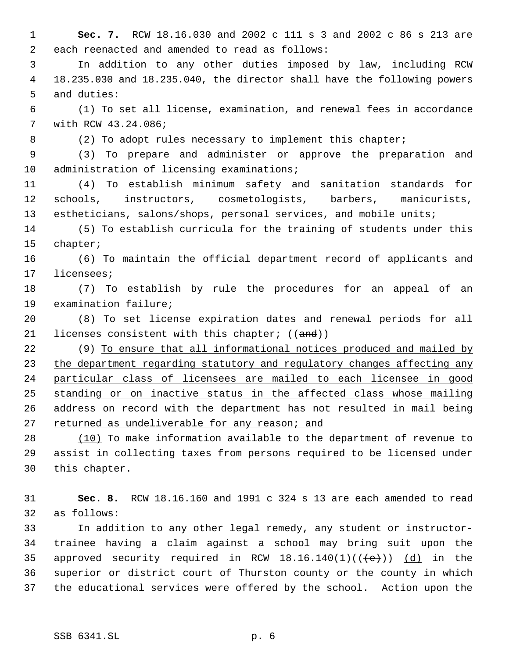**Sec. 7.** RCW 18.16.030 and 2002 c 111 s 3 and 2002 c 86 s 213 are each reenacted and amended to read as follows:

 In addition to any other duties imposed by law, including RCW 18.235.030 and 18.235.040, the director shall have the following powers and duties:

 (1) To set all license, examination, and renewal fees in accordance with RCW 43.24.086;

8 (2) To adopt rules necessary to implement this chapter;

 (3) To prepare and administer or approve the preparation and administration of licensing examinations;

 (4) To establish minimum safety and sanitation standards for schools, instructors, cosmetologists, barbers, manicurists, 13 estheticians, salons/shops, personal services, and mobile units;

 (5) To establish curricula for the training of students under this chapter;

 (6) To maintain the official department record of applicants and licensees;

 (7) To establish by rule the procedures for an appeal of an examination failure;

 (8) To set license expiration dates and renewal periods for all 21 licenses consistent with this chapter;  $((and))$ 

 (9) To ensure that all informational notices produced and mailed by 23 the department regarding statutory and regulatory changes affecting any particular class of licensees are mailed to each licensee in good standing or on inactive status in the affected class whose mailing address on record with the department has not resulted in mail being returned as undeliverable for any reason; and

28 (10) To make information available to the department of revenue to assist in collecting taxes from persons required to be licensed under this chapter.

 **Sec. 8.** RCW 18.16.160 and 1991 c 324 s 13 are each amended to read as follows:

 In addition to any other legal remedy, any student or instructor- trainee having a claim against a school may bring suit upon the 35 approved security required in RCW  $18.16.140(1)((\{e\}))$  (d) in the superior or district court of Thurston county or the county in which the educational services were offered by the school. Action upon the